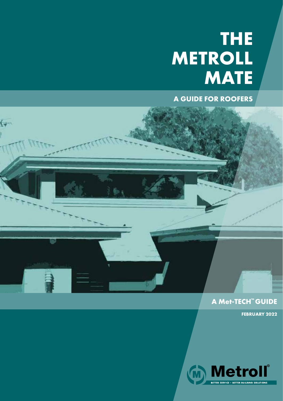# **THE METROLL MATE**

**A GUIDE FOR ROOFERS**

 $\sqrt{}$ 

TTTTTTT

### **A Met-TECH™ GUIDE**

**FEBRUARY 2022**

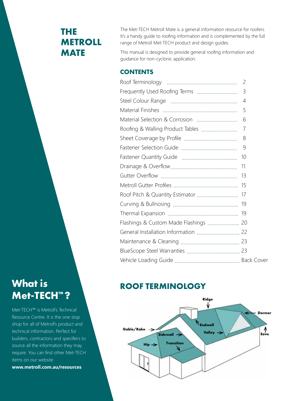# **THE METROLL MATE**

The Met-TECH Metroll Mate is a general information resource for roofers. It's a handy guide to roofing information and is complemented by the full range of Metroll Met-TECH product and design guides.

This manual is designed to provide general roofing information and guidance for non-cyclonic application.

### **CONTENTS**

| $\overline{c}$ |
|----------------|
| 3              |
| 4              |
| 5              |
| 6              |
| 7              |
| 8              |
| 9              |
| 10             |
| 11             |
|                |
|                |
|                |
|                |
|                |
|                |
|                |
|                |
|                |
|                |
|                |

### **ROOF TERMINOLOGY**



# **What is Met-TECH™ ?**

Met-TECH™ is Metroll's Technical Resource Centre. It is the one stop shop for all of Metroll's product and technical information. Perfect for builders, contractors and specifiers to source all the information they may require. You can find other Met-TECH items on our website **www.metroll.com.au/resources**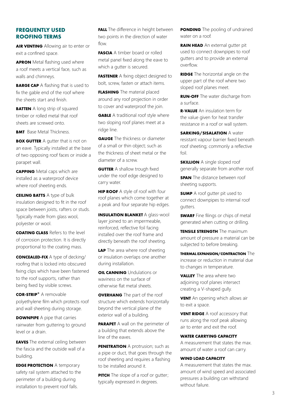#### **FREQUENTLY USED ROOFING TERMS**

**AIR VENTING** Allowing air to enter or exit a confined space.

**APRON** Metal flashing used where a roof meets a vertical face, such as walls and chimneys.

**BARGE CAP** A flashing that is used to fix the gable end of the roof where the sheets start and finish.

**BATTEN** A long strip of squared timber or rolled metal that roof sheets are screwed onto.

**BMT** Base Metal Thickness

**BOX GUTTER** A gutter that is not on an eave. Typically installed at the base of two opposing roof faces or inside a parapet wall.

**CAPPING** Metal caps which are installed as a waterproof device where roof sheeting ends.

**CEILING BATTS** A type of bulk insulation designed to fit in the roof space between joists, rafters or studs. Typically made from glass wool, polyester or wool.

**COATING CLASS** Refers to the level of corrosion protection. It is directly proportional to the coating mass.

**CONCEALED-FIX** A type of decking/ roofing that is locked into obscured fixing clips which have been fastened to the roof supports, rather than being fixed by visible screws.

**COR-STRIP®** A removable polyethylene film which protects roof and wall sheeting during storage.

**DOWNPIPE** A pipe that carries rainwater from guttering to ground level or a drain.

**EAVES** The external ceiling between the fascia and the outside wall of a building.

**EDGE PROTECTION** A temporary safety rail system attached to the perimeter of a building during installation to prevent roof falls.

**FALL** The difference in height between two points in the direction of water flow.

**FASCIA** A timber board or rolled metal panel fixed along the eave to which a gutter is secured.

**FASTENER** A fixing object designed to bolt, screw, fasten or attach items.

**FLASHING** The material placed around any roof projection in order to cover and waterproof the join.

**GABLE** A traditional roof style where two sloping roof planes meet at a ridge line.

**GAUGE** The thickness or diameter of a small or thin object; such as the thickness of sheet metal or the diameter of a screw.

**GUTTER** A shallow trough fixed under the roof edge designed to carry water.

**HIP ROOF** A style of roof with four roof planes which come together at a peak and four separate hip edges.

**INSULATION BLANKET** A glass-wool layer joined to an impermeable, reinforced, reflective foil facing installed over the roof frame and directly beneath the roof sheeting.

**LAP** The area where roof sheeting or insulation overlaps one another during installation.

**OIL CANNING** Undulations or waviness on the surface of otherwise flat metal sheets.

**OVERHANG** The part of the roof structure which extends horizontally beyond the vertical plane of the exterior wall of a building.

**PARAPET** A wall on the perimeter of a building that extends above the line of the eaves.

**PENETRATION** A protrusion; such as a pipe or duct, that goes through the roof sheeting and requires a flashing to be installed around it.

**PITCH** The slope of a roof or gutter; typically expressed in degrees.

**PONDING** The pooling of undrained water on a roof.

**RAIN HEAD** An external gutter pit used to connect downpipes to roof gutters and to provide an external overflow.

**RIDGE** The horizontal angle on the upper part of the roof where two sloped roof planes meet.

**RUN-OFF** The water discharge from a surface.

**R-VALUE** An insulation term for the value given for heat transfer resistance in a roof or wall system.

**SARKING/SISALATION** A water resistant vapour barrier fixed beneath roof sheeting; commonly a reflective foil.

**SKILLION** A single sloped roof generally separate from another roof.

**SPAN** The distance between roof sheeting supports.

**SUMP** A roof gutter pit used to connect downpipes to internal roof gutters.

**SWARF** Fine filings or chips of metal generated when cutting or drilling.

**TENSILE STRENGTH** The maximum amount of pressure a material can be subjected to before breaking.

**THERMAL EXPANSION/CONTRACTION** The increase or reduction in material due to changes in temperature.

**VALLEY** The area where two adjoining roof planes intersect creating a V-shaped gully.

**VENT** An opening which allows air to exit a space.

**VENT RIDGE** A roof accessory that runs along the roof peak allowing air to enter and exit the roof.

#### **WATER CARRYING CAPACITY**

A measurement that states the max. amount of water a roof can carry.

#### **WIND LOAD CAPACITY**

A measurement that states the max. amount of wind speed and associated pressures a building can withstand without failure.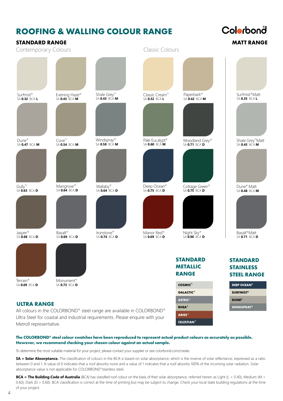## **ROOFING & WALLING COLOUR RANGE**

**STANDARD RANGE**

# Colorbond

**WINDSPRAY® DUNE®**

| <b>STANDARD RANGE</b>                  |                                        |                                                        |                                                           |                                                    | <b>MATT RANGE</b>                                           |
|----------------------------------------|----------------------------------------|--------------------------------------------------------|-----------------------------------------------------------|----------------------------------------------------|-------------------------------------------------------------|
| Contemporary Colours                   |                                        |                                                        | Classic Colours                                           |                                                    |                                                             |
|                                        |                                        |                                                        |                                                           |                                                    |                                                             |
| Surfmist <sup>®</sup><br>SA 0.32 BCA L | Evening Haze®<br>SA <b>0.43</b> BCA M  | Shale Grey <sup>™</sup><br>SA <b>0.43</b> BCA <b>M</b> | Classic Cream™<br>SA 0.32 BCA L                           | Paperbark <sup>®</sup><br>SA $0.42$ BCA M          | Surfmist <sup>®</sup> Matt<br>SA 0.35 BCA L                 |
| $Dune^*$                               | Cove <sup>™</sup>                      | Windspray®                                             |                                                           |                                                    |                                                             |
| SA 0.47 BCA M                          | SA 0.54 BCA M                          | SA 0.58 <sup>BCÁ M</sup>                               | Pale Eucalypt <sup>®</sup><br>SA <b>0.60</b> BCA <b>M</b> | Woodland Grey®<br>SA <b>0.71</b> BCA $D$           | Shale Grey <sup>™</sup> Matt<br>SA <b>0.45</b> BCA <b>M</b> |
|                                        |                                        |                                                        |                                                           |                                                    |                                                             |
| Gully <sup>™</sup><br>SA $0.63$ bca d  | Mangrove®<br>SA 0.64 BCA D             | Wallaby®<br>SA <b>0.64</b> BCA <b>D</b>                | Deep Ocean®<br>SA <b>0.75</b> BCA <b>D</b>                | Cottage Green®<br>SA <b>0.75</b> BCA <b>D</b>      | Dune <sup>®</sup> Matt<br>SA 0.48 BCA M                     |
|                                        |                                        |                                                        |                                                           |                                                    |                                                             |
| Jasper®<br>SA 0.68 BCA D               | Basalt®<br>SA 0.69 BCA D               | Ironstone®<br>SA 0.74 BCA D                            | Manor Red®<br>SA 0.69 BCA D                               | Night Sky®<br>SA $\overline{0.96}$ BCA D           | Basalt®Matt<br>SA 0.71 BCA D                                |
|                                        |                                        |                                                        |                                                           | <b>STANDARD</b><br><b>METALLIC</b><br><b>RANGE</b> | <b>STANDARD</b><br><b>STAINLESS</b><br><b>STEEL RANGE</b>   |
| Terrain <sup>®</sup><br>SA 0.69 BCA D  | Monument <sup>®</sup><br>SA 0.73 BCA D |                                                        |                                                           | COSMIC <sup>™</sup>                                | <b>DEEP OCEAN®</b>                                          |
|                                        |                                        |                                                        |                                                           | <b>GALACTIC™</b>                                   | <b>SURFMIST®</b>                                            |

#### **ULTRA RANGE**

All colours in the COLORBOND® steel range are available in COLORBOND® Ultra Steel for coastal and industrial requirements. Please enquire with your Metroll representative.

#### **The COLORBOND® steel colour swatches have been reproduced to represent actual product colours as accurately as possible. However, we recommend checking your chosen colour against an actual sample.**

To determine the most suitable material for your project, please contact your supplier or see colorbond.com/create.

**SA = Solar Absorptance.** The classification of colours in the BCA is based on solar absorptance, which is the inverse of solar reflectance, expressed as a ratio between 0 and 1. A value of 0 indicates that a roof absorbs none and a value of 1 indicates that a roof absorbs 100% of the incoming solar radiation. Solar absorptance value is not applicable for COLORBOND®stainless steel.

**RHEA™ ASTRO™**

**CELESTIAN™ ARIES™**

**BCA = The Building Code of Australia** (BCA) has classified roof colour on the basis of their solar absorptance, referred herein as Light (L < 0.40), Medium (M < 0.60), Dark (D > 0.60). BCA classification is correct at the time of printing but may be subject to change. Check your local state building regulations at the time of your project.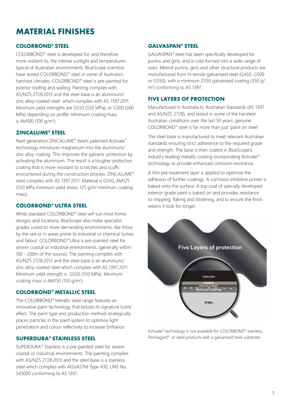# **MATERIAL FINISHES**

#### **COLORBOND® STEEL**

COLORBOND® steel is developed for, and therefore more resilient to, the intense sunlight and temperatures typical of Australian environments. BlueScope scientists have tested COLORBOND® steel in some of Australia's harshest climates. COLORBOND® steel is pre-painted for exterior roofing and walling. Painting complies with AS/NZS 2728:2013 and the steel base is an aluminium/ zinc alloy-coated steel which complies with AS 1397:2011. Minimum yield strengths are G550 (550 MPa), or G300 (300 MPa) depending on profile. Minimum coating mass is AM100 (100 g/m<sup>2</sup>).

#### **ZINCALUME® STEEL**

Next generation ZINCALUME® steel's patented Activate™ technology introduces magnesium into the aluminium/ zinc alloy coating. This improves the galvanic protection by activating the aluminium. The result is a tougher protective coating that is more resistant to scratches and scuffs encountered during the construction process. ZINCALUME® steel complies with AS 1397:2011. Material is G550, AM125 (550 MPa minimum yield stress, 125  $q/m^2$  minimum coating mass).

#### **COLORBOND® ULTRA STEEL**

While standard COLORBOND® steel will suit most home designs and locations, BlueScope also make specialist grades suited to more demanding environments, like those by the sea or in areas prone to industrial or chemical fumes and fallout. COLORBOND® Ultra is pre-painted steel for severe coastal or industrial environments, (generally within 100 - 200m of the source). The painting complies with AS/NZS 2728:2013 and the steel base is an aluminium/ zinc alloy-coated steel which complies with AS 1397:2011. Minimum yield strength is G550 (550 MPa). Minimum coating mass is AM150 (150 g/m<sup>2</sup>).

#### **COLORBOND® METALLIC STEEL**

The COLORBOND® Metallic steel range features an innovative paint technology that boosts its signature lustre effect. The paint type and production method strategically places particles in the paint system to optimise light penetration and colour reflectivity to increase brilliance.

#### **SUPERDURA® STAINLESS STEEL**

SUPERDURA® Stainless is a pre-painted steel for severe coastal or industrial environments. The painting complies with AS/NZS 2728:2013 and the steel base is a stainless steel which complies with AISI/ASTM Type 430; UNS No. S43000 conforming to AS 1397.

#### **GALVASPAN® STEEL**

GALVASPAN® steel has been specifically developed for purlins and girts, and is cold formed into a wide range of sizes. Metroll purlins, girts and other structural products are manufactured from hi-tensile galvanised steel (G450, G500 or G550), with a minimum Z350 galvanised coating (350 g/ m2 ) conforming to AS 1397.

#### **FIVE LAYERS OF PROTECTION**

Manufactured in Australia to Australian Standards (AS 1397 and AS/NZS 2728), and tested in some of the harshest Australian conditions over the last 50 years, genuine COLORBOND® steel is far more than just 'paint on steel'.

The steel base is manufactured to meet relevant Australian standards ensuring strict adherence to the required grade and strength. The base is then coated in BlueScope's industry leading metallic coating incorporating Activate® technology to provide enhanced corrosion resistance.

A thin pre-treatment layer is applied to optimise the adhesion of further coatings. A corrosion inhibitive primer is baked onto the surface. A top coat of specially developed exterior grade paint is baked on and provides resistance to chipping, flaking and blistering; and to ensure the finish retains it look for longer.



Activate® technology is not available for COLORBOND® stainless, Permagard® or steel products with a galvanised steel substrate.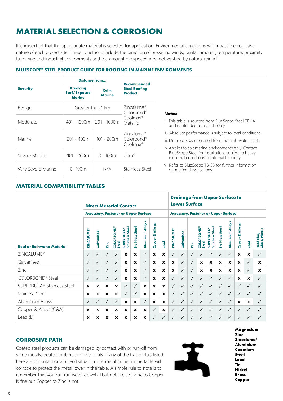# **MATERIAL SELECTION & CORROSION**

It is important that the appropriate material is selected for application. Environmental conditions will impact the corrosive nature of each project site. These conditions include the direction of prevailing winds, rainfall amount, temperature, proximity to marine and industrial environments and the amount of exposed area not washed by natural rainfall.

#### **BLUESCOPE® STEEL PRODUCT GUIDE FOR ROOFING IN MARINE ENVIRONMENTS**

|                    | <b>Distance from</b>                             |                                  |                                                                          |                                                                                                                                                                             |
|--------------------|--------------------------------------------------|----------------------------------|--------------------------------------------------------------------------|-----------------------------------------------------------------------------------------------------------------------------------------------------------------------------|
| <b>Severity</b>    | <b>Breaking</b><br>Surf/Exposed<br><b>Marine</b> | Calm<br><b>Marine</b>            | <b>Recommended</b><br><b>Steel Roofing</b><br><b>Product</b>             |                                                                                                                                                                             |
| Benign             | Greater than 1 km                                |                                  | Zincalume <sup>®</sup><br>Colorbond <sup>®</sup>                         | <b>Notes:</b>                                                                                                                                                               |
| Moderate           | $401 - 1000m$                                    | $201 - 1000m$                    | $Coolmax^{\circ}$<br><b>Metallic</b>                                     | i. This table is sourced from BlueScope Steel TB-1A<br>and is intended as a quide only.                                                                                     |
| Marine             | $201 - 400m$                                     | $101 - 200m$                     | Zincalume <sup>®</sup><br>Colorbond <sup>®</sup><br>Coolmax <sup>®</sup> | ii. Absolute performance is subject to local conditions.<br>iii. Distance is as measured from the high-water mark.<br>iv. Applies to salt marine environments only. Contact |
| Severe Marine      | $101 - 200m$                                     | Ultra <sup>®</sup><br>$0 - 100m$ |                                                                          | BlueScope Steel for installations subject to heavy<br>industrial conditions or internal humidity.                                                                           |
| Very Severe Marine | $0 - 100m$                                       | N/A                              | Stainless Steel                                                          | v. Refer to BlueScope TB-35 for further information<br>on marine classifications.                                                                                           |

#### **MATERIAL COMPATIBILITY TABLES**

|                                        | <b>Direct Material Contact</b> |                           |                           |                                               |                                                                                  |                                  |                     | <b>Drainage from Upper Surface to</b><br><b>Lower Surface</b> |              |                   |              |              |                                   |                                                |                           |                         |                       |              |                               |
|----------------------------------------|--------------------------------|---------------------------|---------------------------|-----------------------------------------------|----------------------------------------------------------------------------------|----------------------------------|---------------------|---------------------------------------------------------------|--------------|-------------------|--------------|--------------|-----------------------------------|------------------------------------------------|---------------------------|-------------------------|-----------------------|--------------|-------------------------------|
|                                        |                                |                           |                           |                                               | <b>Accessory, Fastener or Upper Surface</b>                                      |                                  |                     |                                                               |              |                   |              |              |                                   | <b>Accessory, Fastener or Upper Surface</b>    |                           |                         |                       |              |                               |
| <b>Roof or Rainwater Material</b>      | <b>ZINCALUME®</b>              | 70<br>Galvanise           | Zinc                      | <b>POND®</b><br><b>COLORB</b><br><b>Steel</b> | $\overline{\bullet}$<br><b>SUPERDURA®</b><br><b>Stei</b><br>SS<br><b>Stainle</b> | <b>Steel</b><br><b>Stainless</b> | Alloys<br>Aluminium | Alloys<br>œ<br><b>Copper</b>                                  | Lead         | <b>ZINCALUME®</b> | Galvanised   | Zinc         | <b>COLORBOND®</b><br><b>Steel</b> | <b>Steel</b><br><b>SUPERDURA®</b><br>Stainless | <b>Steel</b><br>Stainless | <b>Aluminium Alloys</b> | Alloys<br>œ<br>Copper | Lead         | Roof Tiles,<br>Glass, Plastic |
| ZINCALUME <sup>®</sup>                 | ✓                              | $\checkmark$              | $\checkmark$              | $\checkmark$                                  | X                                                                                | X                                | $\sqrt{ }$          | X                                                             | X            | $\checkmark$      | $\checkmark$ | $\checkmark$ | $\checkmark$                      | $\checkmark$                                   | $\checkmark$              | $\checkmark$            | X                     | X            | $\checkmark$                  |
| Galvanised                             | ✓                              | $\checkmark$              | $\checkmark$              | $\sqrt{}$                                     | X                                                                                | X                                | $\checkmark$        | X                                                             | X            | X                 | $\checkmark$ | $\checkmark$ | X                                 | X                                              | X                         | X                       | X                     | $\checkmark$ | X                             |
| Zinc                                   | ✓                              | $\checkmark$              | $\checkmark$              | $\checkmark$                                  | X                                                                                | X                                | $\checkmark$        | $\mathbf x$                                                   | $\mathbf x$  | $\mathbf{x}$      | $\checkmark$ | $\checkmark$ | $\mathbf x$                       | $\boldsymbol{\mathsf{x}}$                      | $\mathbf{x}$              | $\mathbf{x}$            | X                     | $\checkmark$ | $\mathbf x$                   |
| COLORBOND® Steel                       | ✓                              | $\checkmark$              | $\checkmark$              | $\checkmark$                                  | X                                                                                | X                                | $\sqrt{ }$          | $\mathbf{x}$                                                  | X            | $\checkmark$      | ✓            | $\sqrt{ }$   | $\checkmark$                      | $\checkmark$                                   | $\checkmark$              | $\checkmark$            | X                     | X            | ✓                             |
| SUPERDURA <sup>®</sup> Stainless Steel | $\boldsymbol{\mathsf{x}}$      | $\boldsymbol{\mathsf{x}}$ | $\mathbf x$               | $\mathbf x$                                   | $\checkmark$                                                                     | $\checkmark$                     | $\mathbf x$         | X                                                             | X            | $\checkmark$      | $\checkmark$ | $\checkmark$ | $\checkmark$                      | $\checkmark$                                   | $\checkmark$              | $\checkmark$            | $\checkmark$          | $\checkmark$ | $\checkmark$                  |
| <b>Stainless Steel</b>                 | $\mathbf{x}$                   | $\boldsymbol{\mathsf{x}}$ | $\boldsymbol{\mathsf{x}}$ | x                                             | $\checkmark$                                                                     | $\checkmark$                     | $\mathbf x$         | X                                                             | X            | $\sqrt{2}$        | ✓            | $\checkmark$ | $\checkmark$                      | $\checkmark$                                   | $\sqrt{2}$                | ✓                       | $\checkmark$          | $\checkmark$ | $\checkmark$                  |
| Aluminium Alloys                       | ✓                              | $\checkmark$              | $\checkmark$              | $\checkmark$                                  | $\mathbf{x}$                                                                     | X                                | $\checkmark$        | $\mathbf{x}$                                                  | X            | $\checkmark$      | $\checkmark$ | $\checkmark$ | $\checkmark$                      | $\checkmark$                                   | $\checkmark$              | $\checkmark$            | X                     | X            | $\checkmark$                  |
| Copper & Alloys (C&A)                  | X                              | $\boldsymbol{\mathsf{x}}$ | X                         | X                                             | X                                                                                | X                                | $\mathbf x$         | $\checkmark$                                                  | X            | $\checkmark$      | ✓            | $\sqrt{ }$   | $\checkmark$                      | $\checkmark$                                   | $\checkmark$              | ✓                       | $\checkmark$          | ✓            | $\checkmark$                  |
| Lead $(L)$                             | X                              | $\mathbf x$               | X                         | X                                             | X                                                                                | X                                | $\mathbf x$         | $\checkmark$                                                  | $\checkmark$ | $\checkmark$      | $\checkmark$ | $\checkmark$ | $\checkmark$                      | $\checkmark$                                   | $\checkmark$              | $\checkmark$            | $\checkmark$          | $\checkmark$ | $\sqrt{ }$                    |

#### **CORROSIVE PATH**

Coated steel products can be damaged by contact with or run-off from some metals, treated timbers and chemicals. If any of the two metals listed here are in contact or a run-off situation, the metal higher in the table will corrode to protect the metal lower in the table. A simple rule to note is to remember that you can run water downhill but not up, e.g. Zinc to Copper is fine but Copper to Zinc is not.

X

**Magnesium Zinc Zincalume® Aluminium Cadmium Steel Lead Tin Nickel Brass Copper**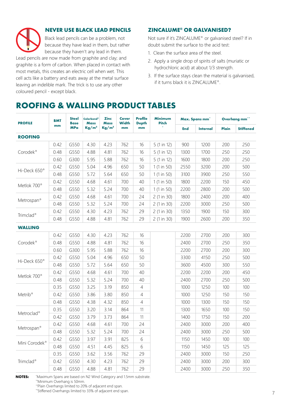

#### **NEVER USE BLACK LEAD PENCILS**

Black lead pencils can be a problem, not because they have lead in them, but rather because they haven't any lead in them.

Lead pencils are now made from graphite and clay; and graphite is a form of carbon. When placed in contact with most metals, this creates an electric cell when wet. This cell acts like a battery and eats away at the metal surface leaving an indelible mark. The trick is to use any other coloured pencil - except black.

#### **ZINCALUME® OR GALVANISED?**

Not sure if it's ZINCALUME® or galvanised steel? If in doubt submit the surface to the acid test:

- 1. Clean the surface area of the steel.
- 2. Apply a single drop of spirits of salts (muriatic or hydrochloric acid) at about 1/3 strength.
- 3. If the surface stays clean the material is galvanised, if it turns black it is ZINCALUME®.

# **ROOFING & WALLING PRODUCT TABLES**

| <b>PROFILE</b>                                   | <b>BMT</b> | <b>Steel</b><br><b>Base</b> | <b>Colorbond®</b><br>Mass | <b>Zinc</b><br><b>Mass</b> | <b>Cover</b><br><b>Width</b> | <b>Profile</b><br><b>Depth</b> | <b>Minimum</b><br><b>Pitch</b> |            | Max. Spans mm <sup>*</sup> |       | Overhang mm"     |
|--------------------------------------------------|------------|-----------------------------|---------------------------|----------------------------|------------------------------|--------------------------------|--------------------------------|------------|----------------------------|-------|------------------|
|                                                  | mm         | <b>MPa</b>                  | Kg/m <sup>2</sup>         | Kg/m <sup>2</sup>          | mm                           | mm                             |                                | <b>End</b> | <b>Internal</b>            | Plain | <b>Stiffened</b> |
| <b>ROOFING</b>                                   |            |                             |                           |                            |                              |                                |                                |            |                            |       |                  |
|                                                  | 0.42       | G550                        | 4.30                      | 4.23                       | 762                          | 16                             | 5(1 in 12)                     | 900        | 1200                       | 200   | 250              |
| Corodek <sup>®</sup><br>Hi-Deck 650 <sup>®</sup> | 0.48       | G550                        | 4.88                      | 4.81                       | 762                          | 16                             | 5 (1 in 12)                    | 1300       | 1700                       | 250   | 250              |
|                                                  | 0.60       | G300                        | 5.95                      | 5.88                       | 762                          | 16                             | 5 (1 in 12)                    | 1600       | 1800                       | 200   | 250              |
|                                                  | 0.42       | G550                        | 5.04                      | 4.96                       | 650                          | 50                             | 1(1 in 50)                     | 2550       | 3200                       | 200   | 500              |
|                                                  | 0.48       | G550                        | 5.72                      | 5.64                       | 650                          | 50                             | 1(1 in 50)                     | 3100       | 3900                       | 250   | 550              |
| Metlok 700 <sup>®</sup>                          | 0.42       | G550                        | 4.68                      | 4.61                       | 700                          | 40                             | 1(1 in 50)                     | 1800       | 2200                       | 150   | 450              |
|                                                  | 0.48       | G550                        | 5.32                      | 5.24                       | 700                          | 40                             | 1(1 in 50)                     | 2200       | 2800                       | 200   | 500              |
|                                                  | 0.42       | G550                        | 4.68                      | 4.61                       | 700                          | 24                             | 2(1 in 30)                     | 1800       | 2400                       | 200   | 400              |
| Metrospan <sup>®</sup>                           | 0.48       | G550                        | 5.32                      | 5.24                       | 700                          | 24                             | 2 (1 in 30)                    | 2200       | 3000                       | 250   | 500              |
|                                                  | 0.42       | G550                        | 4.30                      | 4.23                       | 762                          | 29                             | 2(1 in 30)                     | 1350       | 1900                       | 150   | 300              |
| Trimclad <sup>®</sup>                            | 0.48       | G550                        | 4.88                      | 4.81                       | 762                          | 29                             | 2(1 in 30)                     | 1900       | 2600                       | 200   | 350              |
| <b>WALLING</b>                                   |            |                             |                           |                            |                              |                                |                                |            |                            |       |                  |
|                                                  | 0.42       | G550                        | 4.30                      | 4.23                       | 762                          | 16                             |                                | 2200       | 2700                       | 200   | 300              |
| Corodek <sup>®</sup>                             | 0.48       | G550                        | 4.88                      | 4.81                       | 762                          | 16                             |                                | 2400       | 2700                       | 250   | 350              |
|                                                  | 0.60       | G300                        | 5.95                      | 5.88                       | 762                          | 16                             |                                | 2200       | 2700                       | 200   | 300              |
|                                                  | 0.42       | G550                        | 5.04                      | 4.96                       | 650                          | 50                             |                                | 3300       | 4150                       | 250   | 500              |
| Hi-Deck 650 <sup>®</sup>                         | 0.48       | G550                        | 5.72                      | 5.64                       | 650                          | 50                             |                                | 3600       | 4500                       | 300   | 550              |
|                                                  | 0.42       | G550                        | 4.68                      | 4.61                       | 700                          | 40                             |                                | 2200       | 2200                       | 200   | 450              |
| Metlok 700 <sup>®</sup>                          | 0.48       | G550                        | 5.32                      | 5.24                       | 700                          | 40                             |                                | 2400       | 2700                       | 250   | 500              |
|                                                  | 0.35       | G550                        | 3.25                      | 3.19                       | 850                          | $\overline{4}$                 |                                | 1000       | 1250                       | 100   | 100              |
| Metrib <sup>®</sup>                              | 0.42       | G550                        | 3.86                      | 3.80                       | 850                          | $\overline{4}$                 |                                | 1000       | 1250                       | 150   | 150              |
|                                                  | 0.48       | G550                        | 4.38                      | 4.32                       | 850                          | $\overline{4}$                 |                                | 1000       | 1300                       | 150   | 150              |
|                                                  | 0.35       | G550                        | 3.20                      | 3.14                       | 864                          | 11                             |                                | 1300       | 1650                       | 100   | 150              |
| Metroclad <sup>®</sup>                           | 0.42       | G550                        | 3.79                      | 3.73                       | 864                          | 11                             |                                | 1400       | 1750                       | 150   | 200              |
|                                                  | 0.42       | G550                        | 4.68                      | 4.61                       | 700                          | 24                             |                                | 2400       | 3000                       | 200   | 400              |
| Metrospan <sup>®</sup>                           | 0.48       | G550                        | 5.32                      | 5.24                       | 700                          | 24                             |                                | 2400       | 3000                       | 250   | 500              |
|                                                  | 0.42       | G550                        | 3.97                      | 3.91                       | 825                          | 6                              |                                | 1150       | 1450                       | 100   | 100              |
| Mini Corodek <sup>®</sup>                        | 0.48       | G550                        | 4.51                      | 4.45                       | 825                          | 6                              |                                | 1150       | 1450                       | 125   | 125              |
|                                                  | 0.35       | G550                        | 3.62                      | 3.56                       | 762                          | 29                             |                                | 2400       | 3000                       | 150   | 250              |
| Trimclad <sup>®</sup>                            | 0.42       | G550                        | 4.30                      | 4.23                       | 762                          | 29                             |                                | 2400       | 3000                       | 200   | 300              |
|                                                  | 0.48       | G550                        | 4.88                      | 4.81                       | 762                          | 29                             |                                | 2400       | 3000                       | 250   | 350              |

\* Maximum Spans are based on N2 Wind Category and 1.5mm substrate. \*\*Minimum Overhang is 50mm. **NOTES:**

\*\*Plain Overhangs limited to 20% of adjacent end span.

\*\*Stiffened Overhangs limited to 33% of adjacent end span.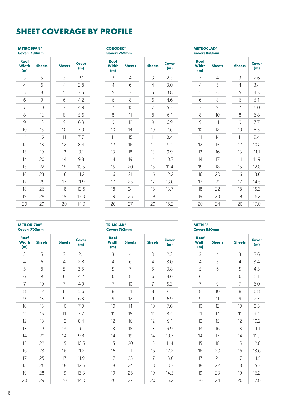## **SHEET COVERAGE BY PROFILE**

#### **METROSPAN® Cover: 700mm**

| Roof<br><b>Width</b><br>(m) | <b>Sheets</b> | <b>Sheets</b>  | Cover<br>(m) |
|-----------------------------|---------------|----------------|--------------|
| 3                           | 5             | 3              | 2.1          |
| 4                           | 6             | $\overline{4}$ | 2.8          |
| 5                           | 8             | 5              | 3.5          |
| 6                           | 9             | 6              | 4.2          |
| 7                           | 10            | 7              | 4.9          |
| 8                           | 12            | 8              | 5.6          |
| 9                           | 13            | 9              | 6.3          |
| 10                          | 15            | 10             | 7.0          |
| 11                          | 16            | 11             | 7.7          |
| 12                          | 18            | 12             | 8.4          |
| 13                          | 19            | 13             | 9.1          |
| 14                          | 20            | 14             | 9.8          |
| 15                          | 22            | 15             | 10.5         |
| 16                          | 23            | 16             | 11.2         |
| 17                          | 25            | 17             | 11.9         |
| 18                          | 26            | 18             | 12.6         |
| 19                          | 28            | 19             | 13.3         |
| 20                          | 29            | 20             | 14.0         |

#### **CORODEK® Cover: 762mm**

#### **Roof Width (m) Sheets** Sheets Cover **(m)** 3 4 3 2.3 4 | 6 | | 4 | 3.0  $5 \mid 7 \mid 5 \mid 3.8$ 6 | 8 | 6 | 4.6 7 10 7 5.3 8 | 11 | 8 | 6.1 9 | 12 | | 9 | 6.9 10 14 10 7.6 11 | 15 | | 11 | 8.4 12 16 12 9.1 13 | 18 | | 13 | 9.9 14 19 14 10.7 15 | 20 | 15 | 11.4 16 21 16 12.2  $17 \mid 23 \mid 17 \mid 13.0$ 18 24 18 13.7  $19$  | 25 | | 19 | 14.5 20 | 27 | | 20 | 15.2

|                             | <b>METROCLAD<sup>®</sup></b><br>Cover: 850mm |  |  |  |  |  |  |  |
|-----------------------------|----------------------------------------------|--|--|--|--|--|--|--|
| Roof<br><b>Width</b><br>(m) | <b>Sheets</b>                                |  |  |  |  |  |  |  |
| ζ                           | 4                                            |  |  |  |  |  |  |  |
|                             | ς                                            |  |  |  |  |  |  |  |

| <b>/idth</b><br>(m) | <b>Sheets</b>  | <b>Sheets</b>  | Cover<br>(m) |
|---------------------|----------------|----------------|--------------|
| 3                   | $\overline{4}$ | 3              | 2.6          |
| $\overline{4}$      | 5              | $\overline{4}$ | 3.4          |
| 5                   | 6              | 5              | 4.3          |
| 6                   | 8              | 6              | 5.1          |
| $\overline{7}$      | 9              | $\overline{7}$ | 6.0          |
| 8                   | 10             | 8              | 6.8          |
| 9                   | 11             | 9              | 7.7          |
| 10                  | 12             | 10             | 8.5          |
| 11                  | 14             | 11             | 9.4          |
| 12                  | 15             | 12             | 10.2         |
| 13                  | 16             | 13             | 11.1         |
| 14                  | 17             | 14             | 11.9         |
| 15                  | 18             | 15             | 12.8         |
| 16                  | 20             | 16             | 13.6         |
| 17                  | 21             | 17             | 14.5         |
| 18                  | 22             | 18             | 15.3         |
| 19                  | 23             | 19             | 16.2         |
| 20                  | 24             | 20             | 17.0         |

### **METLOK 700®**

| <b>Cover: 700mm</b> |
|---------------------|

| Roof<br><b>Width</b><br>(m) | <b>Sheets</b> | <b>Sheets</b> | <b>Cover</b><br>(m) |
|-----------------------------|---------------|---------------|---------------------|
| 3                           | 5             | 3             | 2.1                 |
| $\overline{4}$              | 6             | 4             | 2.8                 |
| 5                           | 8             | 5             | 3.5                 |
| 6                           | 9             | 6             | 4.2                 |
| 7                           | 10            | 7             | 4.9                 |
| 8                           | 12            | 8             | 5.6                 |
| 9                           | 13            | 9             | 6.3                 |
| 10                          | 15            | 10            | 7.0                 |
| 11                          | 16            | 11            | 7.7                 |
| 12                          | 18            | 12            | 8.4                 |
| 13                          | 19            | 13            | 9.1                 |
| 14                          | 20            | 14            | 9.8                 |
| 15                          | 22            | 15            | 10.5                |
| 16                          | 23            | 16            | 11.2                |
| 17                          | 25            | 17            | 11.9                |
| 18                          | 26            | 18            | 12.6                |
| 19                          | 28            | 19            | 13.3                |
| 20                          | 29            | 20            | 14.0                |

| <b>TRIMCLAD®</b> |
|------------------|
| Cover: 762mm     |

| Roof<br><b>Width</b><br>(m) | <b>Sheets</b> | <b>Sheets</b> | <b>Cover</b><br>(m) |
|-----------------------------|---------------|---------------|---------------------|
| 3                           | 4             | 3             | 2.3                 |
| 4                           | 6             | 4             | 3.0                 |
| 5                           | 7             | 5             | 3.8                 |
| 6                           | 8             | 6             | 4.6                 |
| 7                           | 10            | 7             | 5.3                 |
| 8                           | 11            | 8             | 6.1                 |
| 9                           | 12            | 9             | 6.9                 |
| 10                          | 14            | 10            | 7.6                 |
| 11                          | 15            | 11            | 8.4                 |
| 12                          | 16            | 12            | 9.1                 |
| 13                          | 18            | 13            | 9.9                 |
| 14                          | 19            | 14            | 10.7                |
| 15                          | 20            | 15            | 11.4                |
| 16                          | 21            | 16            | 12.2                |
| 17                          | 23            | 17            | 13.0                |
| 18                          | 24            | 18            | 13.7                |
| 19                          | 25            | 19            | 14.5                |
| 20                          | 27            | 20            | 15.2                |
|                             |               |               |                     |

| <b>METRIB<sup>®</sup></b> |
|---------------------------|
| <b>Cover: 850mm</b>       |
|                           |

 $\overline{\phantom{a}}$ 

| Roof<br><b>Width</b><br>(m) | <b>Sheets</b> | <b>Sheets</b> | <b>Cover</b><br>(m) |
|-----------------------------|---------------|---------------|---------------------|
| 3                           | 4             | 3             | 2.6                 |
| 4                           | 5             | 4             | 3.4                 |
| 5                           | 6             | 5             | 4.3                 |
| 6                           | 8             | 6             | 5.1                 |
| 7                           | 9             | 7             | 6.0                 |
| 8                           | 10            | 8             | 6.8                 |
| 9                           | 11            | 9             | 7.7                 |
| 10                          | 12            | 10            | 8.5                 |
| 11                          | 14            | 11            | 9.4                 |
| 12                          | 15            | 12            | 10.2                |
| 13                          | 16            | 13            | 11.1                |
| 14                          | 17            | 14            | 11.9                |
| 15                          | 18            | 15            | 12.8                |
| 16                          | 20            | 16            | 13.6                |
| 17                          | 21            | 17            | 14.5                |
| 18                          | 22            | 18            | 15.3                |
| 19                          | 23            | 19            | 16.2                |
| 20                          | 24            | 20            | 17.0                |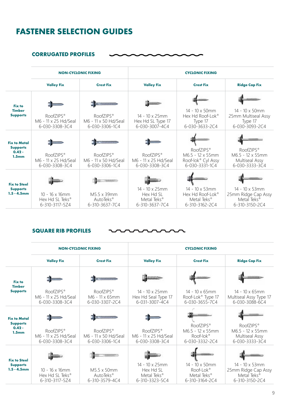## **FASTENER SELECTION GUIDES**

 $\ddot{\phantom{0}}$ 

 $\blacksquare$  $\sim$ 

#### **CORRUGATED PROFILES**

|                                                          | <b>NON-CYCLONIC FIXING</b>                                              |                                                                 | <b>CYCLONIC FIXING</b>                                                   |                                                                                             |                                                                                            |  |
|----------------------------------------------------------|-------------------------------------------------------------------------|-----------------------------------------------------------------|--------------------------------------------------------------------------|---------------------------------------------------------------------------------------------|--------------------------------------------------------------------------------------------|--|
|                                                          | <b>Valley Fix</b>                                                       | <b>Crest Fix</b>                                                | <b>Valley Fix</b>                                                        | <b>Crest Fix</b>                                                                            | <b>Ridge Cap Fix</b>                                                                       |  |
| Fix to                                                   |                                                                         | <b>THE SAN FREESAST</b>                                         | <b>Baames</b>                                                            |                                                                                             |                                                                                            |  |
| <b>Timber</b><br><b>Supports</b>                         | RoofZIPS <sup>®</sup><br>M6 - 11 x 25 Hd/Seal<br>6-030-3308-3C4         | RoofZIPS <sup>®</sup><br>M6 - 11 x 50 Hd/Seal<br>6-030-3306-1C4 | $14 - 10 \times 25$ mm<br>Hex Hd SL Type 17<br>6-030-3007-4C4            | 14 - 10 x 50mm<br>Hex Hd Roof-Lok <sup>®</sup><br>Type 17<br>6-030-3633-2C4                 | $14 - 10 \times 50$ mm<br>25mm Multiseal Assy<br>Type 17<br>6-030-3093-2C4                 |  |
| <b>Fix to Metal</b>                                      |                                                                         | <b>TANKARRASSA</b>                                              |                                                                          |                                                                                             |                                                                                            |  |
| <b>Supports</b><br>$0.42 -$<br>1.5 <sub>mm</sub>         | RoofZIPS <sup>®</sup><br>M6 - 11 x 25 Hd/Seal<br>6-030-3308-3C4         | RoofZIPS <sup>®</sup><br>M6 - 11 x 50 Hd/Seal<br>6-030-3306-1C4 | RoofZIPS <sup>®</sup><br>M6 - 11 x 25 Hd/Seal<br>6-030-3308-3C4          | RoofZIPS <sup>®</sup><br>M6.5 - 12 x 55mm<br>Roof-lok® Cyl Assy<br>6-030-3331-1C4           | RoofZIPS <sup>®</sup><br>M6.5 - 12 x 55mm<br>Multiseal Assy<br>6-030-3333-3C4              |  |
|                                                          |                                                                         |                                                                 |                                                                          |                                                                                             |                                                                                            |  |
| <b>Fix to Steel</b><br><b>Supports</b><br>$1.5 - 4.5$ mm | $10 - 16 \times 16$ mm<br>Hex Hd SL Teks <sup>®</sup><br>6-310-3117-5Z4 | M5.5 x 39mm<br>AutoTeks <sup>®</sup><br>6-310-3637-7C4          | 14 - 10 x 25mm<br>Hex Hd SL<br>Metal Teks <sup>®</sup><br>6-310-3637-7C4 | 14 - 10 x 53mm<br>Hex Hd Roof-Lok <sup>®</sup><br>Metal Teks <sup>®</sup><br>6-310-3162-2C4 | $14 - 10 \times 53$ mm<br>25mm Ridge Cap Assy<br>Metal Teks <sup>®</sup><br>6-310-3150-2C4 |  |

#### **SQUARE RIB PROFILES**

|                                        |                                                                         | <b>NON-CYCLONIC FIXING</b>                                      | <b>CYCLONIC FIXING</b>                                                   |                                                                                      |                                                                                    |  |  |
|----------------------------------------|-------------------------------------------------------------------------|-----------------------------------------------------------------|--------------------------------------------------------------------------|--------------------------------------------------------------------------------------|------------------------------------------------------------------------------------|--|--|
|                                        | <b>Valley Fix</b>                                                       | <b>Crest Fix</b>                                                | <b>Valley Fix</b>                                                        | <b>Crest Fix</b>                                                                     | <b>Ridge Cap Fix</b>                                                               |  |  |
| <b>Fix to</b><br><b>Timber</b>         |                                                                         | <b>Tuanguisticiana</b>                                          |                                                                          |                                                                                      |                                                                                    |  |  |
| <b>Supports</b>                        | RoofZIPS <sup>®</sup><br>M6 - 11 x 25 Hd/Seal<br>6-030-3308-3C4         | RoofZIPS <sup>®</sup><br>M6 - 11 x 65mm<br>6-030-3307-2C4       | 14 - 10 x 25mm<br>Hex Hd Seal Type 17<br>6-031-3007-4C4                  | $14 - 10 \times 65$ mm<br>Roof-Lok <sup>®</sup> Type 17<br>6-030-3655-7C4            | $14 - 10 \times 65$ mm<br>Multiseal Assy Type 17<br>6-030-3088-6C4                 |  |  |
| <b>Fix to Metal</b><br><b>Supports</b> |                                                                         | <b>TELEVISIONS</b>                                              | mmm                                                                      |                                                                                      |                                                                                    |  |  |
| $0.42 -$<br>1.5 <sub>mm</sub>          | RoofZIPS <sup>®</sup><br>M6 - 11 x 25 Hd/Seal<br>6-030-3308-3C4         | RoofZIPS <sup>®</sup><br>M6 - 11 x 50 Hd/Seal<br>6-030-3306-1C4 | RoofZIPS <sup>®</sup><br>M6 - 11 x 25 Hd/Seal<br>6-030-3308-3C4          | RoofZIPS <sup>®</sup><br>M6.5 - 12 x 55mm<br>Roof-lok <sup>®</sup><br>6-030-3332-2C4 | RoofZIPS <sup>®</sup><br>M6.5 - 12 x 55mm<br>Multiseal Assy<br>6-030-3333-3C4      |  |  |
| <b>Fix to Steel</b>                    | <b>Bum-</b>                                                             |                                                                 | <b>Fum</b>                                                               |                                                                                      |                                                                                    |  |  |
| <b>Supports</b><br>$1.5 - 4.5$ mm      | $10 - 16 \times 16$ mm<br>Hex Hd SL Teks <sup>®</sup><br>6-310-3117-5Z4 | M5.5 x 50mm<br>AutoTeks <sup>®</sup><br>6-310-3579-4C4          | 14 - 10 x 25mm<br>Hex Hd SL<br>Metal Teks <sup>®</sup><br>6-310-3323-5C4 | 14 - 10 x 50mm<br>Roof-Lok <sup>®</sup><br>Metal Teks <sup>®</sup><br>6-310-3164-2C4 | 14 - 10 x 53mm<br>25mm Ridge Cap Assy<br>Metal Teks <sup>®</sup><br>6-310-3150-2C4 |  |  |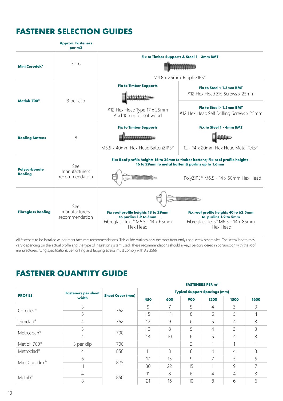# **FASTENER SELECTION GUIDES**

**Approx. Fasteners** 

|                           | per m2                                 |                                                                                                               |                                                                                                                                      |
|---------------------------|----------------------------------------|---------------------------------------------------------------------------------------------------------------|--------------------------------------------------------------------------------------------------------------------------------------|
| Mini Corodek®             | $5 - 6$                                |                                                                                                               | Fix to Timber Supports & Steel 1 - 3mm BMT<br>M4.8 x 25mm RippleZIPS®                                                                |
|                           |                                        | <b>Fix to Timber Supports</b>                                                                                 | Fix to Steel < 1.5mm BMT                                                                                                             |
| Metlok 700 <sup>®</sup>   | 3 per clip                             |                                                                                                               | #12 Hex Head Zip Screws x 25mm                                                                                                       |
|                           |                                        | #12 Hex Head Type 17 x 25mm<br>Add 10mm for softwood                                                          | Fix to Steel > 1.5mm BMT<br>#12 Hex Head Self Drilling Screws x 25mm                                                                 |
|                           |                                        | <b>Fix to Timber Supports</b>                                                                                 | <b>Fix to Steel 1 - 4mm BMT</b>                                                                                                      |
| <b>Roofing Battens</b>    | 8                                      |                                                                                                               |                                                                                                                                      |
|                           |                                        | M5.5 x 40mm Hex Head BattenZIPS®                                                                              | 12 - 14 x 20mm Hex Head Metal Teks®                                                                                                  |
|                           | See                                    |                                                                                                               | Fix: Roof profile heights 16 to 24mm to timber battens; Fix roof profile heights<br>16 to 29mm to metal batten & purlins up to 1.6mm |
| Polycarbonate<br>Roofing  | manufacturers<br>recommendation        |                                                                                                               | PolyZIPS® M6.5 - 14 x 50mm Hex Head                                                                                                  |
|                           |                                        |                                                                                                               |                                                                                                                                      |
| <b>Fibreglass Roofing</b> | See<br>manufacturers<br>recommendation | Fix roof profile heights 18 to 29mm<br>to purlins 1.2 to 5mm<br>Fibreglass Teks® M6.5 - 14 x 65mm<br>Hex Head | Fix roof profile heights 40 to 62.5mm<br>to purlins 1.2 to 5mm<br>Fibreglass Teks® M6.5 - 14 x 85mm<br>Hex Head                      |

All fasteners to be installed as per manufacturers recommendations. This guide outlines only the most frequently used screw assemblies. The screw length may vary depending on the actual profile and the type of insulation system used. These recommendations should always be considered in conjunction with the roof manufacturers fixing specifications. Self drilling and tapping screws must comply with AS 3566.

# **FASTENER QUANTITY GUIDE**

|                           |                            |                         |                                      |     |                | <b>FASTENERS PER m<sup>2</sup></b> |                |                |
|---------------------------|----------------------------|-------------------------|--------------------------------------|-----|----------------|------------------------------------|----------------|----------------|
| <b>PROFILE</b>            | <b>Fasteners per sheet</b> |                         | <b>Typical Support Spacings (mm)</b> |     |                |                                    |                |                |
|                           | width                      | <b>Sheet Cover (mm)</b> | 450                                  | 600 | 900            | 1200                               | 1500           | 1600           |
|                           | 3                          | 762                     | 9                                    | 7   | 5              | 4                                  | 3              | 3              |
| Corodek <sup>®</sup>      | 5                          |                         | 15                                   | 11  | 8              | 6                                  | 5              | 4              |
| Trimclad <sup>®</sup>     | 4                          | 762                     | 12                                   | 9   | 6              | 5                                  | 4              | 3              |
|                           | 3                          | 700                     | 10                                   | 8   | 5              | $\overline{4}$                     | 3              | 3              |
| Metrospan®                | $\overline{4}$             |                         | 13                                   | 10  | 6              | 5                                  | $\overline{4}$ | 3              |
| Metlok 700 <sup>®</sup>   | 3 per clip                 | 700                     |                                      |     | $\overline{c}$ |                                    |                | $\overline{ }$ |
| Metroclad <sup>®</sup>    | $\overline{4}$             | 850                     | 11                                   | 8   | 6              | $\overline{4}$                     | $\overline{4}$ | 3              |
| Mini Corodek <sup>®</sup> | 6                          | 825                     | 17                                   | 13  | 9              | $\overline{7}$                     | 5              | 5              |
|                           | 11                         |                         | 30                                   | 22  | 15             | 11                                 | 9              |                |
| Metrib <sup>®</sup>       | 4                          | 850                     | 11                                   | 8   | 6              | $\overline{4}$                     | $\overline{4}$ | 3              |
|                           | 8                          |                         | 21                                   | 16  | 10             | 8                                  | 6              | 6              |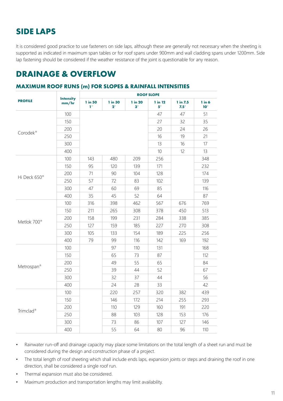# **SIDE LAPS**

It is considered good practice to use fasteners on side laps, although these are generally not necessary when the sheeting is supported as indicated in maximum span tables or for roof spans under 900mm and wall cladding spans under 1200mm. Side lap fastening should be considered if the weather resistance of the joint is questionable for any reason.

### **DRAINAGE & OVERFLOW**

#### **MAXIMUM ROOF RUNS (m) FOR SLOPES & RAINFALL INTENSITIES**

|                          |                           | <b>ROOF SLOPE</b>      |                        |                      |                      |                         |                            |
|--------------------------|---------------------------|------------------------|------------------------|----------------------|----------------------|-------------------------|----------------------------|
| <b>PROFILE</b>           | <b>Intensity</b><br>mm/hr | 1 in 50<br>$1^{\circ}$ | 1 in 30<br>$2^{\circ}$ | 1 in 20<br>$3^\circ$ | 1 in 12<br>$5^\circ$ | 1 in 7.5<br>$7.5^\circ$ | $1$ in $6$<br>$10^{\circ}$ |
|                          | 100                       |                        |                        |                      | 47                   | 47                      | 51                         |
|                          | 150                       |                        |                        |                      | 27                   | 32                      | 35                         |
| Corodek <sup>®</sup>     | 200                       |                        |                        |                      | 20                   | 24                      | 26                         |
|                          | 250                       |                        |                        |                      | 16                   | 19                      | 21                         |
|                          | 300                       |                        |                        |                      | 13                   | 16                      | 17                         |
|                          | 400                       |                        |                        |                      | 10                   | 12                      | 13                         |
|                          | 100                       | 143                    | 480                    | 209                  | 256                  |                         | 348                        |
|                          | 150                       | 95                     | 120                    | 139                  | 171                  |                         | 232                        |
|                          | 200                       | 71                     | 90                     | 104                  | 128                  |                         | 174                        |
| Hi Deck 650 <sup>®</sup> | 250                       | 57                     | 72                     | 83                   | 102                  |                         | 139                        |
|                          | 300                       | 47                     | 60                     | 69                   | 85                   |                         | 116                        |
|                          | 400                       | 35                     | 45                     | 52                   | 64                   |                         | 87                         |
|                          | 100                       | 316                    | 398                    | 462                  | 567                  | 676                     | 769                        |
|                          | 150                       | 211                    | 265                    | 308                  | 378                  | 450                     | 513                        |
| Metlok 700 <sup>®</sup>  | 200                       | 158                    | 199                    | 231                  | 284                  | 338                     | 385                        |
|                          | 250                       | 127                    | 159                    | 185                  | 227                  | 270                     | 308                        |
|                          | 300                       | 105                    | 133                    | 154                  | 189                  | 225                     | 256                        |
|                          | 400                       | 79                     | 99                     | 116                  | 142                  | 169                     | 192                        |
|                          | 100                       |                        | 97                     | 110                  | 131                  |                         | 168                        |
|                          | 150                       |                        | 65                     | 73                   | 87                   |                         | 112                        |
|                          | 200                       |                        | 49                     | 55                   | 65                   |                         | 84                         |
| Metrospan <sup>®</sup>   | 250                       |                        | 39                     | 44                   | 52                   |                         | 67                         |
|                          | 300                       |                        | 32                     | 37                   | 44                   |                         | 56                         |
|                          | 400                       |                        | 24                     | 28                   | 33                   |                         | 42                         |
|                          | 100                       |                        | 220                    | 257                  | 320                  | 382                     | 439                        |
|                          | 150                       |                        | 146                    | 172                  | 214                  | 255                     | 293                        |
| Trimclad <sup>®</sup>    | 200                       |                        | 110                    | 129                  | 160                  | 191                     | 220                        |
|                          | 250                       |                        | 88                     | 103                  | 128                  | 153                     | 176                        |
|                          | 300                       |                        | 73                     | 86                   | 107                  | 127                     | 146                        |
|                          | 400                       |                        | 55                     | 64                   | 80                   | 96                      | 110                        |

• Rainwater run-off and drainage capacity may place some limitations on the total length of a sheet run and must be considered during the design and construction phase of a project.

- The total length of roof sheeting which shall include ends laps, expansion joints or steps and draining the roof in one direction, shall be considered a single roof run.
- Thermal expansion must also be considered.
- Maximum production and transportation lengths may limit availability.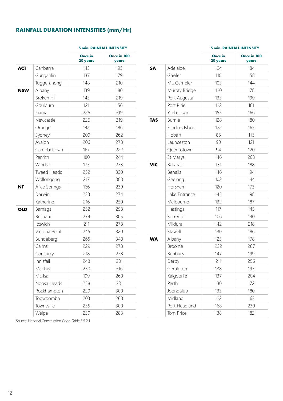#### **RAINFALL DURATION INTENSITIES (mm/Hr)**

|            |                    | <b>5 min. RAINFALL INTENSITY</b> |                      |  |  |
|------------|--------------------|----------------------------------|----------------------|--|--|
|            |                    | Once in<br>20 years              | Once in 100<br>years |  |  |
| <b>ACT</b> | Canberra           | 143                              | 193                  |  |  |
|            | Gungahlin          | 137                              | 179                  |  |  |
|            | Tuggeranong        | 148                              | 210                  |  |  |
| <b>NSW</b> | Albany             | 139                              | 180                  |  |  |
|            | <b>Broken Hill</b> | 143                              | 219                  |  |  |
|            | Goulburn           | 121                              | 156                  |  |  |
|            | Kiama              | 226                              | 319                  |  |  |
|            | Newcastle          | 226                              | 319                  |  |  |
|            | Orange             | 142                              | 186                  |  |  |
|            | Sydney             | 200                              | 262                  |  |  |
|            | Avalon             | 206                              | 278                  |  |  |
|            | Campbeltown        | 167                              | 222                  |  |  |
|            | Penrith            | 180                              | 244                  |  |  |
|            | Windsor            | 175                              | 233                  |  |  |
|            | <b>Tweed Heads</b> | 252                              | 330                  |  |  |
|            | Wollongong         | 217                              | 308                  |  |  |
| NT         | Alice Springs      | 166                              | 239                  |  |  |
|            | Darwin             | 233                              | 274                  |  |  |
|            | Katherine          | 216                              | 250                  |  |  |
| QLD        | Bamaga             | 252                              | 298                  |  |  |
|            | <b>Brisbane</b>    | 234                              | 305                  |  |  |
|            | Ipswich            | 211                              | 278                  |  |  |
|            | Victoria Point     | 245                              | 320                  |  |  |
|            | Bundaberg          | 265                              | 340                  |  |  |
|            | Cairns             | 229                              | 278                  |  |  |
|            | Concurry           | 218                              | 278                  |  |  |
|            | Innisfail          | 248                              | 301                  |  |  |
|            | Mackay             | 250                              | 316                  |  |  |
|            | Mt. Isa            | 199                              | 260                  |  |  |
|            | Noosa Heads        | 258                              | 331                  |  |  |
|            | Rockhampton        | 229                              | 300                  |  |  |
|            | Toowoomba          | 203                              | 268                  |  |  |
|            | Townsville         | 235                              | 300                  |  |  |
|            | Weipa              | 239                              | 283                  |  |  |
|            |                    |                                  |                      |  |  |

#### **5 min. RAINFALL INTENSITY**

|            |                 | Once in<br>20 years | Once in 100<br>years |
|------------|-----------------|---------------------|----------------------|
| <b>SA</b>  | Adelaide        | 124                 | 184                  |
|            | Gawler          | 110                 | 158                  |
|            | Mt. Gambler     | 103                 | 144                  |
|            | Murray Bridge   | 120                 | 178                  |
|            | Port Augusta    | 133                 | 199                  |
|            | Port Pirie      | 122                 | 181                  |
|            | Yorketown       | 155                 | 166                  |
| <b>TAS</b> | <b>Burnie</b>   | 128                 | 180                  |
|            | Flinders Island | 122                 | 165                  |
|            | Hobart          | 85                  | 116                  |
|            | Launceston      | 90                  | 121                  |
|            | Queenstown      | 94                  | 120                  |
|            | St Marys        | 146                 | 203                  |
| <b>VIC</b> | <b>Ballarat</b> | 131                 | 188                  |
|            | Benalla         | 146                 | 194                  |
|            | Geelong         | 102                 | 144                  |
|            | Horsham         | 120                 | 173                  |
|            | Lake Entrance   | 145                 | 198                  |
|            | Melbourne       | 132                 | 187                  |
|            | Hastings        | 117                 | 145                  |
|            | Sorrento        | 106                 | 140                  |
|            | Mildura         | 142                 | 218                  |
|            | Stawell         | 130                 | 186                  |
| <b>WA</b>  | Albany          | 125                 | 178                  |
|            | <b>Broome</b>   | 232                 | 287                  |
|            | Bunbury         | 147                 | 199                  |
|            | Derby           | 211                 | 256                  |
|            | Geraldton       | 138                 | 193                  |
|            | Kalgoorlie      | 137                 | 204                  |
|            | Perth           | 130                 | 172                  |
|            | Joondalup       | 133                 | 180                  |
|            | Midland         | 122                 | 163                  |
|            | Port Headland   | 168                 | 230                  |
|            | Tom Price       | 138                 | 182                  |

Source: National Construction Code. Table 3.5.2.1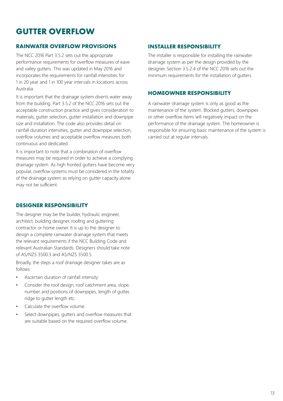# **GUTTER OVERFLOW**

#### **RAINWATER OVERFLOW PROVISIONS**

The NCC 2016 Part 3.5.2 sets out the appropriate performance requirements for overflow measures of eave and valley gutters. This was updated in May 2016 and incorporates the requirements for rainfall intensities for 1 in 20 year and 1 in 100 year intervals in locations across Australia.

It is important that the drainage system diverts water away from the building. Part 3.5.2 of the NCC 2016 sets out the acceptable construction practice and gives consideration to materials, gutter selection, gutter installation and downpipe size and installation. The code also provides detail on rainfall duration intensities, gutter and downpipe selection, overflow volumes and acceptable overflow measures both continuous and dedicated.

It is important to note that a combination of overflow measures may be required in order to achieve a complying drainage system. As high fronted gutters have become very popular, overflow systems must be considered in the totality of the drainage system as relying on gutter capacity alone may not be sufficient.

#### **DESIGNER RESPONSIBILITY**

The designer may be the builder, hydraulic engineer, architect, building designer, roofing and guttering contractor or home owner. It is up to the designer to design a complete rainwater drainage system that meets the relevant requirements if the NCC Building Code and relevant Australian Standards. Designers should take note of AS/NZS 3500.3 and AS/NZS 3500.5.

Broadly, the steps a roof drainage designer takes are as follows:

- Ascertain duration of rainfall intensity.
- Consider the roof design, roof catchment area, slope, number and positions of downpipes, length of gutter, ridge to gutter length etc.
- Calculate the overflow volume.
- Select downpipes, gutters and overflow measures that are suitable based on the required overflow volume.

#### **INSTALLER RESPONSIBILITY**

The installer is responsible for installing the rainwater drainage system as per the design provided by the designer. Section 3.5.2.4 of the NCC 2016 sets out the minimum requirements for the installation of gutters.

#### **HOMEOWNER RESPONSIBILITY**

A rainwater drainage system is only as good as the maintenance of the system. Blocked gutters, downpipes or other overflow items will negatively impact on the performance of the drainage system. The homeowner is responsible for ensuring basic maintenance of the system is carried out at regular intervals.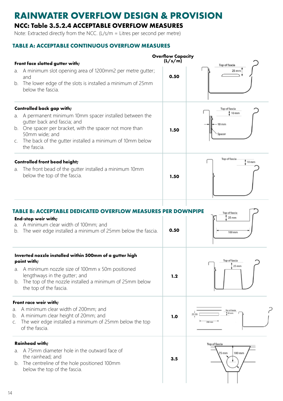# **RAINWATER OVERFLOW DESIGN & PROVISION**

### **NCC: Table 3.5.2.4 ACCEPTABLE OVERFLOW MEASURES**

Note: Extracted directly from the NCC. (L/s/m = Litres per second per metre)

#### **TABLE A: ACCEPTABLE CONTINUOUS OVERFLOW MEASURES**

|          |                                                                                                                                                                                                                                               | <b>Overflow Capacity</b> |                                  |
|----------|-----------------------------------------------------------------------------------------------------------------------------------------------------------------------------------------------------------------------------------------------|--------------------------|----------------------------------|
|          | Front face slotted gutter with;                                                                                                                                                                                                               | (L/s/m)                  | Top of fascia                    |
| a.       | A minimum slot opening area of 1200mm2 per metre qutter;<br>and<br>b. The lower edge of the slots is installed a minimum of 25mm                                                                                                              | 0.50                     | 25 mm                            |
|          | below the fascia.                                                                                                                                                                                                                             |                          |                                  |
|          | <b>Controlled back gap with;</b>                                                                                                                                                                                                              |                          | Top of fascia                    |
| а.<br>C. | A permanent minimum 10mm spacer installed between the<br>gutter back and fascia; and<br>b. One spacer per bracket, with the spacer not more than<br>50mm wide; and<br>The back of the gutter installed a minimum of 10mm below<br>the fascia. | 1.50                     | 10 mm<br>$10$ mm<br>Spacer       |
|          |                                                                                                                                                                                                                                               |                          |                                  |
| a.       | <b>Controlled front bead height;</b><br>The front bead of the gutter installed a minimum 10mm<br>below the top of the fascia.                                                                                                                 | 1.50                     | Top of fascia<br>10 mm           |
| a.<br>b. | TABLE B: ACCEPTABLE DEDICATED OVERFLOW MEASURES PER DOWNPIPE<br>End-stop weir with;<br>A minimum clear width of 100mm; and<br>The weir edge installed a minimum of 25mm below the fascia.                                                     | 0.50                     | Top of fascia<br>25 mm<br>100 mm |
|          | Inverted nozzle installed within 500mm of a gutter high<br>point with;                                                                                                                                                                        |                          | Top of fascia                    |
|          | a. A minimum nozzle size of 100mm x 50m positioned<br>lengthways in the gutter; and<br>b. The top of the nozzle installed a minimum of 25mm below<br>the top of the fascia.                                                                   | 1.2                      | 25 mm                            |
|          | Front race weir with;                                                                                                                                                                                                                         |                          |                                  |
| b.<br>C. | a. A minimum clear width of 200mm; and<br>A minimum clear height of 20mm; and<br>The weir edge installed a minimum of 25mm below the top<br>of the fascia.                                                                                    | 1.0                      | llop of fascia<br>$26$ ms        |
|          | <b>Rainhead with;</b>                                                                                                                                                                                                                         |                          | Top of fascia                    |
| a.<br>b. | A 75mm diameter hole in the outward face of<br>the rainhead; and<br>The centreline of the hole positioned 100mm<br>below the top of the fascia.                                                                                               | 3.5                      | 100 mm<br>75 mm                  |
|          |                                                                                                                                                                                                                                               |                          |                                  |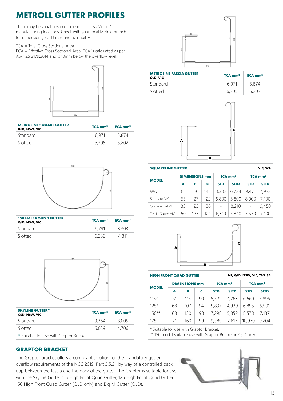# **METROLL GUTTER PROFILES**

There may be variations in dimensions across Metroll's manufacturing locations. Check with your local Metroll branch for dimensions, lead times and availability.

TCA = Total Cross Sectional Area

ECA = Effective Cross Sectional Area. ECA is calculated as per AS/NZS 2179:2014 and is 10mm below the overflow level.



| <b>METROLINE SQUARE GUTTER</b><br>QLD, NSW, VIC | $TCA$ mm <sup>2</sup> | $ECA$ mm <sup>2</sup> |
|-------------------------------------------------|-----------------------|-----------------------|
| Standard                                        | 6971                  | 5.874                 |
| Slotted                                         | 6.305                 | 5.202                 |



| <b>METROLINE FASCIA GUTTER</b><br>QLD, VIC | $TCA$ mm <sup>2</sup> | $ECA$ mm <sup>2</sup> |
|--------------------------------------------|-----------------------|-----------------------|
| <b>Standard</b>                            | 6 971                 | 5.874                 |
| Slotted                                    | 6,305                 |                       |





| <b>150 HALF ROUND GUTTER</b><br>QLD, NSW, VIC | $TCA$ mm <sup>2</sup> | $ECA$ mm <sup>2</sup> |
|-----------------------------------------------|-----------------------|-----------------------|
| Standard                                      | 9.791                 | 8,303                 |
| Slotted                                       |                       | 4 811                 |



| <b>SKYLINE GUTTER*</b><br>QLD, NSW, VIC | $TCA$ mm <sup>2</sup> | $ECA$ mm <sup>2</sup> |
|-----------------------------------------|-----------------------|-----------------------|
| Standard                                | 9,364                 | 8.005                 |
| Slotted                                 | 6.039                 | 4.706                 |

**\*** Suitable for use with Graptor Bracket.

#### **GRAPTOR BRACKET**

The Graptor bracket offers a compliant solution for the mandatory gutter overflow requirements of the NCC 2019, Part 3.5.2, by way of a controlled back gap between the fascia and the back of the gutter. The Graptor is suitable for use with the Skyline Gutter, 115 High Front Quad Gutter, 125 High Front Quad Gutter, 150 High Front Quad Gutter (QLD only) and Big M Gutter (QLD).

#### **SQUARELINE GUTTER VIC, WA**

|                   | <b>DIMENSIONS mm</b> |     | $ECA$ mm <sup>2</sup> |            | $TCA$ mm <sup>2</sup> |            |             |
|-------------------|----------------------|-----|-----------------------|------------|-----------------------|------------|-------------|
| <b>MODEL</b>      | A                    | в   | c                     | <b>STD</b> | <b>SLTD</b>           | <b>STD</b> | <b>SLTD</b> |
| <b>WA</b>         | 81                   | 120 | 145                   | 8,302      | 6,734                 | 9,471      | 7,923       |
| Standard VIC      | 65                   | 127 | 122                   | 6,800      | 5,800                 | 8,000      | 7.100       |
| Commercial VIC    | 83                   | 125 | 136                   |            | 8,210                 |            | 9,450       |
| Fascia Gutter VIC | 60                   | 127 | 121                   | 6,310      | 5,840                 | 7,570      | 7.100       |



#### **HIGH FRONT QUAD GUTTER NT, QLD, NSW, VIC, TAS, SA**

| <b>DIMENSIONS mm</b> |    |     | $ECA$ mm <sup>2</sup> |            |             | $TCA$ mm <sup>2</sup> |             |
|----------------------|----|-----|-----------------------|------------|-------------|-----------------------|-------------|
| <b>MODEL</b>         | A  | в   | c                     | <b>STD</b> | <b>SLTD</b> | <b>STD</b>            | <b>SLTD</b> |
| $115*$               | 61 | 115 | 90                    | 5,529      | 4.763       | 6,660                 | 5,895       |
| $125*$               | 68 | 107 | 94                    | 5,837      | 4,939       | 6,895                 | 5,991       |
| $150**$              | 68 | 130 | 98                    | 7.298      | 5,852       | 8,578                 | 7.137       |
| 175                  | 71 | 160 | 99                    | 9,389      | 7.617       | 10,970                | 9.204       |

\* Suitable for use with Graptor Bracket.

\*\* 150 model suitable use with Graptor Bracket in QLD only

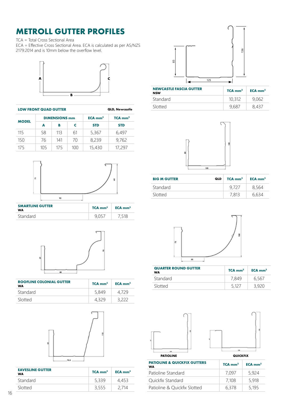# **METROLL GUTTER PROFILES**

TCA = Total Cross Sectional Area ECA = Effective Cross Sectional Area. ECA is calculated as per AS/NZS 2179:2014 and is 10mm below the overflow level.



| <b>LOW FRONT QUAD GUTTER</b> |                      |     | <b>QLD, Newcastle</b> |                       |            |
|------------------------------|----------------------|-----|-----------------------|-----------------------|------------|
|                              | <b>DIMENSIONS mm</b> |     | $ECA$ mm <sup>2</sup> | $TCA$ mm <sup>2</sup> |            |
| <b>MODEL</b>                 | A                    | в   | c                     | <b>STD</b>            | <b>STD</b> |
| 115                          | 58                   | 113 | 61                    | 5,367                 | 6,497      |
| 150                          | 76                   | 141 | 70                    | 8,239                 | 9,762      |
| 175                          | 105                  | 175 | 100                   | 15,430                | 17.297     |



| <b>SMARTLINE GUTTER</b><br>WA | $TCA$ mm <sup>2</sup> | $ECA$ mm <sup>2</sup> |
|-------------------------------|-----------------------|-----------------------|
| Standard                      |                       | 7,518                 |



| <b>ROOFLINE COLONIAL GUTTER</b><br>WA | $TCA$ mm <sup>2</sup> | $ECA$ mm <sup>2</sup> |
|---------------------------------------|-----------------------|-----------------------|
| Standard                              | 5.849                 |                       |
| Slotted                               |                       |                       |



| <b>EAVESLINE GUTTER</b><br>WA | $TCA$ mm <sup>2</sup> | $ECA$ mm <sup>2</sup> |
|-------------------------------|-----------------------|-----------------------|
| <b>Standard</b>               | 5,339                 | 4.453                 |
| Slotted                       | 3,555                 | 2 714                 |



| <b>NEWCASTLE FASCIA GUTTER</b><br><b>NSW</b> | $TCA$ mm <sup>2</sup> | $ECA$ mm <sup>2</sup> |
|----------------------------------------------|-----------------------|-----------------------|
| Standard                                     | 10.312                | 9.062                 |
| Slotted                                      | 9.687                 | 8.437                 |



| <b>BIG M GUTTER</b> | <b>QLD</b> | $TCA$ mm <sup>2</sup> | $ECA$ mm <sup>2</sup> |
|---------------------|------------|-----------------------|-----------------------|
| <b>Standard</b>     |            | 9.727                 | 8,564                 |
| Slotted             |            | 7.813                 | 6 634                 |



| <b>QUARTER ROUND GUTTER</b><br><b>WA</b> | $TCA$ mm <sup>2</sup> | $ECA$ mm <sup>2</sup> |
|------------------------------------------|-----------------------|-----------------------|
| Standard                                 | 7.849                 | 6.567                 |
| Slotted                                  | 5 1 2 7               | २ १२०                 |





| <b>PATIOLINE</b>                                     |                       | <b>QUICKFIX</b>                 |  |  |  |
|------------------------------------------------------|-----------------------|---------------------------------|--|--|--|
| <b>PATIOLINE &amp; QUICKFIX GUTTERS</b><br><b>WA</b> | $TCA$ mm <sup>2</sup> | $ECA$ <sub>mm<sup>2</sup></sub> |  |  |  |
| Patioline Standard                                   | 7.097                 | 5,924                           |  |  |  |
| Quickfix Standard                                    | 7.108                 | 5,918                           |  |  |  |
| Patioline & Quickfix Slotted                         | 6,378                 | 5,195                           |  |  |  |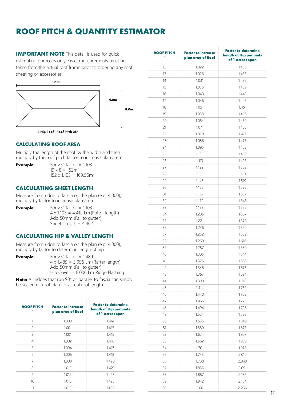# **ROOF PITCH & QUANTITY ESTIMATOR**

**IMPORTANT NOTE** This detail is used for quick estimating purposes only. Exact measurements must be taken from the actual roof frame prior to ordering any roof sheeting or accessories.



#### **CALCULATING ROOF AREA**

Multiply the length of the roof by the width and then multiply by the roof pitch factor to increase plan area.

**Example:** For 25° factor = 1.103  $19 \times 8 = 152$ m<sup>2</sup>  $152 \times 1103 = 169.56$ m<sup>2</sup>

#### **CALCULATING SHEET LENGTH**

Measure from ridge to fascia on the plan (e.g. 4.000), multiply by factor to increase plan area.

**Example:** For  $25^\circ$  factor =  $1.103$  $4 \times 1.103 = 4.412$  Lm (Rafter length) Add 50mm (Fall to gutter) Sheet Length =  $4.462$ 

#### **CALCULATING HIP & VALLEY LENGTH**

Measure from ridge to fascia on the plan (e.g. 4.000), multiply by factor to determine length of hip.

| For $25^{\circ}$ factor = 1.489             |
|---------------------------------------------|
| $4 \times 1.489 = 5.956$ Lm (Rafter length) |
| Add 50mm (Fall to gutter)                   |
| Hip Cover = $6.006$ Lm Ridge Flashing.      |
|                                             |

**Note:** All ridges that run 90° or parallel to fascia can simply be scaled off roof plan for actual roof length.

| <b>ROOF PITCH</b><br>۰   | <b>Factor to increase</b><br>plan area of Roof | <b>Factor to determine</b><br>length of Hip per units<br>of 1 across span |
|--------------------------|------------------------------------------------|---------------------------------------------------------------------------|
| 1                        | 1.000                                          | 1.414                                                                     |
| $\overline{\phantom{a}}$ | 1.001                                          | 1.415                                                                     |
| 3                        | 1.001                                          | 1.415                                                                     |
| 4                        | 1.002                                          | 1.416                                                                     |
| 5                        | 1.004                                          | 1.417                                                                     |
| 6                        | 1.006                                          | 1.418                                                                     |
| 7                        | 1.008                                          | 1.420                                                                     |
| 8                        | 1.010                                          | 1.421                                                                     |
| 9                        | 1.012                                          | 1.423                                                                     |
| 10                       | 1.015                                          | 1.425                                                                     |
| 11                       | 1.019                                          | 1.428                                                                     |

| <b>ROOF PITCH</b> | <b>Factor to increase</b><br>plan area of Roof | <b>Factor to determine</b><br>length of Hip per units<br>of 1 across span |
|-------------------|------------------------------------------------|---------------------------------------------------------------------------|
| 12                | 1.022                                          | 1.430                                                                     |
| 13                | 1.026                                          | 1.433                                                                     |
| 14                | 1.031                                          | 1.436                                                                     |
| 15                | 1.035                                          | 1.439                                                                     |
| 16                | 1.040                                          | 1.442                                                                     |
| 17                | 1.046                                          | 1.447                                                                     |
| 18                | 1.051                                          | 1.451                                                                     |
| 19                | 1.058                                          | 1.456                                                                     |
| 20                | 1.064                                          | 1.460                                                                     |
| 21                | 1.071                                          | 1.465                                                                     |
| 22                | 1.079                                          | 1.471                                                                     |
| 23                | 1.086                                          | 1.477                                                                     |
| 24                | 1.095                                          | 1.483                                                                     |
| 25                | 1.103                                          | 1.489                                                                     |
| 26                | 1.113                                          | 1.496                                                                     |
| 27                | 1.122                                          | 1.503                                                                     |
| 28                | 1.133                                          | 1.511                                                                     |
| 29                | 1.143                                          | 1.519                                                                     |
| 30                | 1.155                                          | 1.528                                                                     |
| 31                | 1.167                                          | 1.537                                                                     |
| 32                | 1.179                                          | 1.546                                                                     |
| 33                | 1.192                                          | 1.556                                                                     |
| 34                | 1.206                                          | 1.567                                                                     |
| 35                | 1.221                                          | 1.578                                                                     |
| 36                | 1.236                                          | 1.590                                                                     |
| 37                | 1.252                                          | 1.602                                                                     |
| 38                | 1.269                                          | 1.616                                                                     |
| 39                | 1.287                                          | 1.630                                                                     |
| 40                | 1.305                                          | 1.644                                                                     |
| 41                | 1.325                                          | 1.660                                                                     |
| 42                | 1.346                                          | 1.677                                                                     |
| 43                | 1.367                                          | 1.694                                                                     |
| 44                | 1.390                                          | 1.712                                                                     |
| 45                | 1.414                                          | 1.732                                                                     |
| 46                | 1.440                                          | 1.753                                                                     |
| 47                | 1.466                                          | 1.775                                                                     |
| 48                | 1.494                                          | 1.798                                                                     |
| 49                | 1.524                                          | 1.823                                                                     |
| 50                | 1.556                                          | 1.849                                                                     |
| 51                | 1.589                                          | 1.877                                                                     |
| 52                | 1.624                                          | 1.907                                                                     |
| 53                | 1.662                                          | 1.939                                                                     |
| 54                | 1.701                                          | 1.973                                                                     |
| 55                | 1.743                                          | 2.010                                                                     |
| 56                | 1.788                                          | 2.049                                                                     |
| 57                | 1.836                                          | 2.091                                                                     |
| 58                | 1.887                                          | 2.136                                                                     |
| 59                | 1.942                                          | 2.184                                                                     |
| 60                | 2.00                                           | 2.236                                                                     |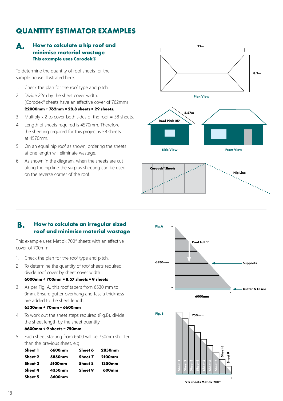### **QUANTITY ESTIMATOR EXAMPLES**

#### **How to calculate a hip roof and minimise material wastage This example uses Corodek® A.**

To determine the quantity of roof sheets for the sample house illustrated here:

- 1. Check the plan for the roof type and pitch.
- 2. Divide 22m by the sheet cover width. (Corodek® sheets have an effective cover of 762mm) **22000mm ÷ 762mm = 28.8 sheets = 29 sheets.**
- 3. Multiply x 2 to cover both sides of the roof = 58 sheets.
- 4. Length of sheets required is 4570mm. Therefore the sheeting required for this project is 58 sheets at 4570mm.
- 5. On an equal hip roof as shown, ordering the sheets at one length will eliminate wastage.
- 6. As shown in the diagram, when the sheets are cut along the hip line the surplus sheeting can be used on the reverse corner of the roof.





#### **How to calculate an irregular sized roof and minimise material wastage B.**

This example uses Metlok 700® sheets with an effective cover of 700mm.

- 1. Check the plan for the roof type and pitch.
- 2. To determine the quantity of roof sheets required, divide roof cover by sheet cover width

#### **6000mm ÷ 700mm = 8.57 sheets = 9 sheets**

3. As per Fig. A, this roof tapers from 6530 mm to 0mm. Ensure gutter overhang and fascia thickness are added to the sheet length

#### **6530mm + 70mm = 6600mm**

4. To work out the sheet steps required (Fig.B), divide the sheet length by the sheet quantity

#### **6600mm ÷ 9 sheets = 750mm**

5. Each sheet starting from 6600 will be 750mm shorter than the previous sheet, e.g:

| Sheet 1 | 6600mm             | Sheet 6 | <b>2850mm</b> |
|---------|--------------------|---------|---------------|
| Sheet 2 | 5850mm             | Sheet 7 | <b>2100mm</b> |
| Sheet 3 | 5100 <sub>mm</sub> | Sheet 8 | 1350mm        |
| Sheet 4 | 4350mm             | Sheet 9 | 600mm         |
| Sheet 5 | 3600mm             |         |               |





**9 x sheets Metlok 700®**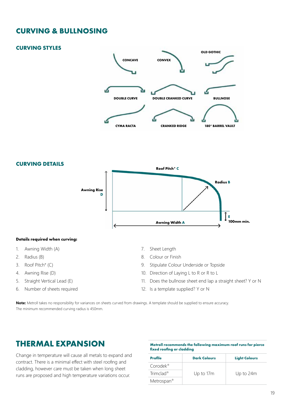### **CURVING & BULLNOSING**

#### **CURVING STYLES**





#### **Details required when curving:**

- 1. Awning Width (A)
- 2. Radius (B)
- 3. Roof Pitch° (C)
- 4. Awning Rise (D)
- 5. Straight Vertical Lead (E)
- 6. Number of sheets required
- 7. Sheet Length
- 8. Colour or Finish
- 9. Stipulate Colour Underside or Topside
- 10. Direction of Laying L to R or R to L
- 11. Does the bullnose sheet end lap a straight sheet? Y or N
- 12. Is a template supplied? Y or N

**Note:** Metroll takes no responsibility for variances on sheets curved from drawings. A template should be supplied to ensure accuracy. The minimum recommended curving radius is 450mm.

### **THERMAL EXPANSION**

Change in temperature will cause all metals to expand and contract. There is a minimal effect with steel roofing and cladding, however care must be taken when long sheet runs are proposed and high temperature variations occur.

| Metroll recommends the following maximum roof runs for pierce |  |
|---------------------------------------------------------------|--|
| fixed roofing or cladding                                     |  |

| <b>Profile</b>           | <b>Dark Colours</b> | <b>Light Colours</b> |
|--------------------------|---------------------|----------------------|
| $Conodek^{\circledcirc}$ |                     |                      |
| Trimclad <sup>®</sup>    | Up to 17m           | Up to 24m            |
| Metrospan <sup>®</sup>   |                     |                      |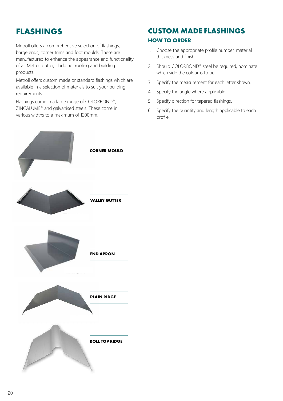# **FLASHINGS**

Metroll offers a comprehensive selection of flashings, barge ends, corner trims and foot moulds. These are manufactured to enhance the appearance and functionality of all Metroll gutter, cladding, roofing and building products.

Metroll offers custom made or standard flashings which are available in a selection of materials to suit your building requirements.

Flashings come in a large range of COLORBOND®, ZINCALUME® and galvanised steels. These come in various widths to a maximum of 1200mm.

### **CUSTOM MADE FLASHINGS HOW TO ORDER**

- 1. Choose the appropriate profile number, material thickness and finish.
- 2. Should COLORBOND® steel be required, nominate which side the colour is to be.
- 3. Specify the measurement for each letter shown.
- 4. Specify the angle where applicable.
- 5. Specify direction for tapered flashings.
- 6. Specify the quantity and length applicable to each profile.

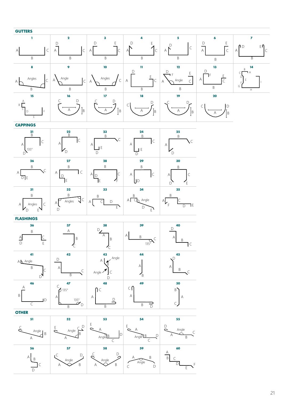#### **GUTTERS**



| <b>CAPPINGS</b>                                |                                 |                        |                                          |                   |
|------------------------------------------------|---------------------------------|------------------------|------------------------------------------|-------------------|
| $\frac{21}{\beta}$<br>A<br>135°<br>D           | $\frac{22}{B}$<br><b>C</b><br>Α | 23<br>B<br>Α<br>E<br>D | 24<br>$\overline{B}$<br>C<br>А<br>E<br>D | 25<br>Β<br>Α      |
| 26                                             | 27                              | 28                     | 29                                       | 30                |
| B<br>А<br>$\overline{\mathsf{D}}$<br><b>IE</b> | B<br>l C<br>Α<br>IE             | B<br>А<br>∕F<br>IE     | B<br>$\subset$<br>A<br>$\mathsf{ID}$     | B<br>Α<br>F       |
| 31                                             | 32                              | 33                     | 34                                       | 35                |
| B<br>$\subset$<br>Angles<br>А<br>E             | B<br>C<br>Angles<br>А<br>D      | B<br>D<br>А<br>E       | B<br>Angle<br>ΑI<br>D<br>E               | Β<br>Α<br>٦E<br>n |

| m<br>٠<br>v.<br>e e s<br>.<br>- |
|---------------------------------|
|---------------------------------|

| 36<br>B<br>A<br>$\mathsf{D}$<br>$\mathsf E$ | 37<br>А<br>B                                       | 38<br>D<br>Α<br>B                                | 39<br>A<br>B<br>$135^\circ$ | 40<br>D<br>А<br>B |
|---------------------------------------------|----------------------------------------------------|--------------------------------------------------|-----------------------------|-------------------|
| 41<br>A \ Angle<br>B                        | 42<br>D<br>A<br>$\subset$<br>B                     | 43<br>$\cdot$ $\leftarrow$ Angle<br>Α<br>Angle ' | 44<br>А<br>B                | 45<br>A<br>B      |
| 46<br>A<br>$\mathsf B$<br>ID                | 47<br>$135^\circ$<br>А<br>$\overline{a}$<br>D<br>B | 48<br>Nς<br>А<br>B                               | 49<br>C (<br>Α<br>B         | 50<br>B<br>Α      |

#### **OTHER**

| 51              | 52              | 53                   | 54              | 55         |
|-----------------|-----------------|----------------------|-----------------|------------|
| Angle<br>B<br>А | D<br>Angle<br>R | Angle <sup>1</sup> B | Α<br>AngleB     | Angle<br>Β |
| 56              | 57              | 58                   | 59              | 60         |
| Α<br>R<br>D     | Angle<br>В<br>Α | D<br>Angle<br>B<br>Α | B<br>Angle<br>D | B          |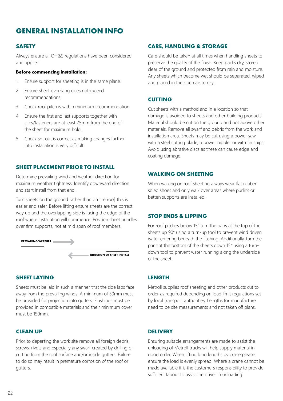### **GENERAL INSTALLATION INFO**

#### **SAFETY**

Always ensure all OH&S regulations have been considered and applied.

#### **Before commencing installation:**

- 1. Ensure support for sheeting is in the same plane.
- 2. Ensure sheet overhang does not exceed recommendations.
- 3. Check roof pitch is within minimum recommendation.
- 4. Ensure the first and last supports together with clips/fasteners are at least 75mm from the end of the sheet for maximum hold.
- 5. Check set-out is correct as making changes further into installation is very difficult.

#### **SHEET PLACEMENT PRIOR TO INSTALL**

Determine prevailing wind and weather direction for maximum weather tightness. Identify downward direction and start install from that end.

Turn sheets on the ground rather than on the roof, this is easier and safer. Before lifting ensure sheets are the correct way up and the overlapping side is facing the edge of the roof where installation will commence. Position sheet bundles over firm supports, not at mid span of roof members.



#### **SHEET LAYING**

Sheets must be laid in such a manner that the side laps face away from the prevailing winds. A minimum of 50mm must be provided for projection into gutters. Flashings must be provided in compatible materials and their minimum cover must be 150mm.

#### **CLEAN UP**

Prior to departing the work site remove all foreign debris, screws, rivets and especially any swarf created by drilling or cutting from the roof surface and/or inside gutters. Failure to do so may result in premature corrosion of the roof or gutters.

#### **CARE, HANDLING & STORAGE**

Care should be taken at all times when handling sheets to preserve the quality of the finish. Keep packs dry, stored clear of the ground and protected from rain and moisture. Any sheets which become wet should be separated, wiped and placed in the open air to dry.

#### **CUTTING**

Cut sheets with a method and in a location so that damage is avoided to sheets and other building products. Material should be cut on the ground and not above other materials. Remove all swarf and debris from the work and installation area. Sheets may be cut using a power saw with a steel cutting blade, a power nibbler or with tin snips. Avoid using abrasive discs as these can cause edge and coating damage.

#### **WALKING ON SHEETING**

When walking on roof sheeting always wear flat rubber soled shoes and only walk over areas where purlins or batten supports are installed.

#### **STOP ENDS & LIPPING**

For roof pitches below 15° turn the pans at the top of the sheets up 90° using a turn-up tool to prevent wind driven water entering beneath the flashing. Additionally, turn the pans at the bottom of the sheets down 15° using a turndown tool to prevent water running along the underside of the sheet.

#### **LENGTH**

Metroll supplies roof sheeting and other products cut to order as required depending on load limit regulations set by local transport authorities. Lengths for manufacture need to be site measurements and not taken off plans.

#### **DELIVERY**

Ensuring suitable arrangements are made to assist the unloading of Metroll trucks will help supply material in good order. When lifting long lengths by crane please ensure the load is evenly spread. Where a crane cannot be made available it is the customers responsibility to provide sufficient labour to assist the driver in unloading.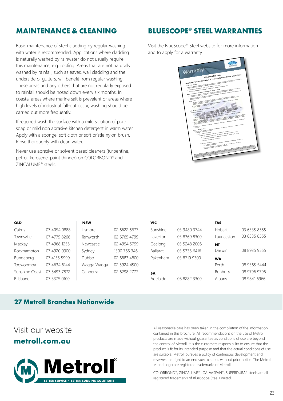### **MAINTENANCE & CLEANING**

Basic maintenance of steel cladding by regular washing with water is recommended. Applications where cladding is naturally washed by rainwater do not usually require this maintenance, e.g. roofing. Areas that are not naturally washed by rainfall, such as eaves, wall cladding and the underside of gutters, will benefit from regular washing. These areas and any others that are not regularly exposed to rainfall should be hosed down every six months. In coastal areas where marine salt is prevalent or areas where high levels of industrial fall-out occur, washing should be carried out more frequently.

If required wash the surface with a mild solution of pure soap or mild non abrasive kitchen detergent in warm water. Apply with a sponge, soft cloth or soft bristle nylon brush. Rinse thoroughly with clean water.

Never use abrasive or solvent based cleaners (turpentine, petrol, kerosene, paint thinner) on COLORBOND® and ZINCALUME® steels.

### **BLUESCOPE® STEEL WARRANTIES**

Visit the BlueScope® Steel website for more information and to apply for a warranty.

| <b>MARNON</b><br>Warranty<br>when used in the manufacture of roof sheets in Australian applications                                                                                                                                                                                                                                                                                                                                               |
|---------------------------------------------------------------------------------------------------------------------------------------------------------------------------------------------------------------------------------------------------------------------------------------------------------------------------------------------------------------------------------------------------------------------------------------------------|
|                                                                                                                                                                                                                                                                                                                                                                                                                                                   |
| . The state of the state of the state of the state of the state of the state of the state of the state of the state of the state of the state of the state of the state of the state of the state of the state of the state o                                                                                                                                                                                                                     |
|                                                                                                                                                                                                                                                                                                                                                                                                                                                   |
| Purpose of this document                                                                                                                                                                                                                                                                                                                                                                                                                          |
| 2. Disadecope these prices limit on the quality of all of the seal materials and processes.<br>). The Warner's cherk You regide and protection in regists of the Material uses to the Dot Product.                                                                                                                                                                                                                                                |
| a de la registración de la registración de la registración de la registración de la registración de la registr<br>La registración de la registración de la registración de la registración de la registración de la registració<br>L                                                                                                                                                                                                              |
| supple and projection (wielect to Limitations and Qualifications ast out between<br>- Marian Marian Marian - Personal Patronal (1998-1994), and the state of the State State (1996)<br>- And the state of the state of the state of the state of the State of the State of the United States (1996)<br>- Patronal (1997)                                                                                                                          |
|                                                                                                                                                                                                                                                                                                                                                                                                                                                   |
|                                                                                                                                                                                                                                                                                                                                                                                                                                                   |
|                                                                                                                                                                                                                                                                                                                                                                                                                                                   |
| e anno 1620 ann an Dàrd Dàith ann an Chaidhligh an Mhail ann an t-ainm an Dàrd Daoin Thail an Dàrd Daoin.<br>T-ainm an Dàrd Daoin an t-ainm an Dùbhlach a t-ainm an Dàrd Daoin agus an Dàrd Daoin.<br>T-ainm a' t-ainm an t-ainm an<br>h. The paint of the University has been proposed to complements of the planted use of the Eric Product and the<br>Contracts at the first first of Product and List and<br>5. Present make                  |
|                                                                                                                                                                                                                                                                                                                                                                                                                                                   |
|                                                                                                                                                                                                                                                                                                                                                                                                                                                   |
|                                                                                                                                                                                                                                                                                                                                                                                                                                                   |
|                                                                                                                                                                                                                                                                                                                                                                                                                                                   |
| a procedure of the company of the company of the company of the company of the company of the company of the company of the company of the company of the company of the company of the company of the company of the company<br>Rights of Consumers under the Australian Consumer Law<br>7. Claim <sup>e</sup> & applies to you it:<br>h the Call Product and a seal again which was no property of the children or considered on an accountance |
| which the political and the company of the political company of using 1 up or handlessed a in their or                                                                                                                                                                                                                                                                                                                                            |
|                                                                                                                                                                                                                                                                                                                                                                                                                                                   |
|                                                                                                                                                                                                                                                                                                                                                                                                                                                   |
| s.<br>The models down b You broke harmful art is platfor to one rights and tensions from marking upon a law in editor to be                                                                                                                                                                                                                                                                                                                       |
|                                                                                                                                                                                                                                                                                                                                                                                                                                                   |
| menter de la menter de la constitution estas esplicito lega altra carto la politica estatut a partir de la pol<br>17. april 18. april 19. april 18. april 18. april 18. april 18. april 18. april 18. april 18. april 18. april<br>1                                                                                                                                                                                                              |
|                                                                                                                                                                                                                                                                                                                                                                                                                                                   |
|                                                                                                                                                                                                                                                                                                                                                                                                                                                   |
| Limitations and qualifications                                                                                                                                                                                                                                                                                                                                                                                                                    |
|                                                                                                                                                                                                                                                                                                                                                                                                                                                   |
| ), analyze system to Diumboode Stanlin chases of one of the following opposite<br>A. providing the same listed of in a quantity substitute to registe the defective that Product on<br>a. Blufficopt Steel's lability to your<br>B. providing septembers Malmini in a spanity sufficient to replace the principles End product of                                                                                                                 |
|                                                                                                                                                                                                                                                                                                                                                                                                                                                   |
|                                                                                                                                                                                                                                                                                                                                                                                                                                                   |
| C. the cost of repaired the defected line byodest<br>A. Internal works analysis with the reviewed or report of the enforcement of the property of transmitted and the<br>A. Internal works and or divided a test                                                                                                                                                                                                                                  |
| ii, shall not include of estand to:                                                                                                                                                                                                                                                                                                                                                                                                               |
|                                                                                                                                                                                                                                                                                                                                                                                                                                                   |
| t, Volyn 14 parsons, duringsa 15 papelle, lane of Indonés, papie or salindes, or and chup indirections.<br>Il 1967 14 parsons, duringsa 15 papi del chubble (200 papie).                                                                                                                                                                                                                                                                          |
|                                                                                                                                                                                                                                                                                                                                                                                                                                                   |
|                                                                                                                                                                                                                                                                                                                                                                                                                                                   |
| <b><i>CALCULUM</i></b>                                                                                                                                                                                                                                                                                                                                                                                                                            |
| working see                                                                                                                                                                                                                                                                                                                                                                                                                                       |
|                                                                                                                                                                                                                                                                                                                                                                                                                                                   |
|                                                                                                                                                                                                                                                                                                                                                                                                                                                   |

| QLD             |              | <b>NSW</b>  |              | VIC.            |              | <b>TAS</b>    |              |
|-----------------|--------------|-------------|--------------|-----------------|--------------|---------------|--------------|
| Cairns          | 07 4054 0888 | Lismore     | 02 6622 6677 | Sunshine        | 03 9480 3744 | <b>Hobart</b> | 03 6335 8555 |
| Townsville      | 07 4779 8266 | Tamworth    | 02 6765 4799 | Laverton        | 03 8369 8300 | Launceston    | 03 6335 8555 |
| Mackay          | 07 4968 1255 | Newcastle   | 02 4954 5799 | Geelong         | 03 5248 2006 | <b>NT</b>     |              |
| Rockhampton     | 07 4920 0900 | Sydney      | 1300 766 346 | <b>Ballarat</b> | 03 5335 6416 | Darwin        | 08 8935 9555 |
| Bundaberg       | 07 4155 5999 | Dubbo       | 02 6883 4800 | Pakenham        | 03 8710 9300 | <b>WA</b>     |              |
| Toowoomba       | 07 4634 6144 | Wagga Wagga | 02 5924 4500 |                 |              | Perth         | 08 9365 5444 |
| Sunshine Coast  | 07 5493 7872 | Canberra    | 02 6298 2777 | <b>SA</b>       |              | Bunbury       | 08 9796 9796 |
| <b>Brisbane</b> | 07 3375 0100 |             |              | Adelaide        | 08 8282 3300 | Albany        | 08 9841 6966 |
|                 |              |             |              |                 |              |               |              |

### **27 Metroll Branches Nationwide**

### **metroll.com.au** Visit our website



All reasonable care has been taken in the compilation of the information contained in this brochure. All recommendations on the use of Metroll products are made without guarantee as conditions of use are beyond the control of Metroll. It is the customers responsibility to ensure that the product is fit for its intended purpose and that the actual conditions of use are suitable. Metroll pursues a policy of continuous development and reserves the right to amend specifications without prior notice. The Metroll M and Logo are registered trademarks of Metroll.

COLORBOND®, ZINCALUME®, GALVASPAN®, SUPERDURA® steels are all registered trademarks of BlueScope Steel Limited.